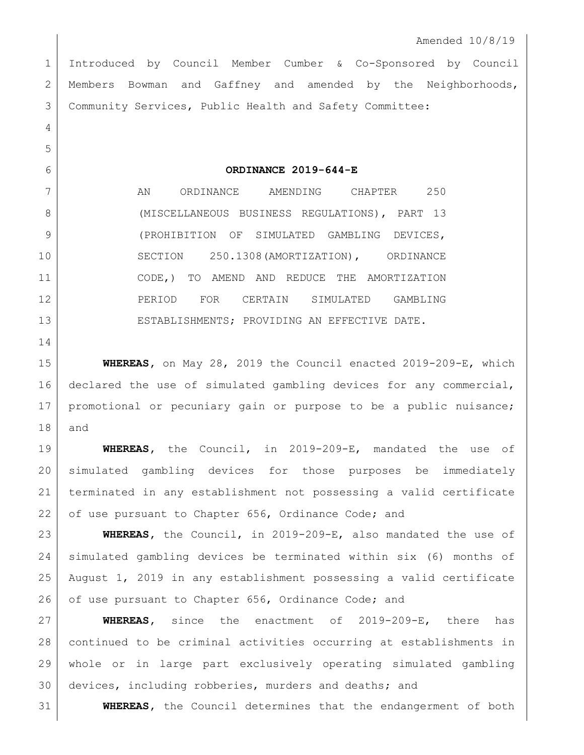Introduced by Council Member Cumber & Co-Sponsored by Council Members Bowman and Gaffney and amended by the Neighborhoods, Community Services, Public Health and Safety Committee:

**ORDINANCE 2019-644-E**

7 AN ORDINANCE AMENDING CHAPTER 250 8 (MISCELLANEOUS BUSINESS REGULATIONS), PART 13 (PROHIBITION OF SIMULATED GAMBLING DEVICES, SECTION 250.1308(AMORTIZATION), ORDINANCE CODE,) TO AMEND AND REDUCE THE AMORTIZATION PERIOD FOR CERTAIN SIMULATED GAMBLING ESTABLISHMENTS; PROVIDING AN EFFECTIVE DATE.

 **WHEREAS,** on May 28, 2019 the Council enacted 2019-209-E, which 16 declared the use of simulated gambling devices for any commercial, promotional or pecuniary gain or purpose to be a public nuisance; and

 **WHEREAS,** the Council, in 2019-209-E, mandated the use of simulated gambling devices for those purposes be immediately terminated in any establishment not possessing a valid certificate 22 of use pursuant to Chapter 656, Ordinance Code; and

 **WHEREAS,** the Council, in 2019-209-E, also mandated the use of simulated gambling devices be terminated within six (6) months of August 1, 2019 in any establishment possessing a valid certificate 26 of use pursuant to Chapter 656, Ordinance Code; and

 **WHEREAS,** since the enactment of 2019-209-E, there has continued to be criminal activities occurring at establishments in whole or in large part exclusively operating simulated gambling devices, including robberies, murders and deaths; and

**WHEREAS,** the Council determines that the endangerment of both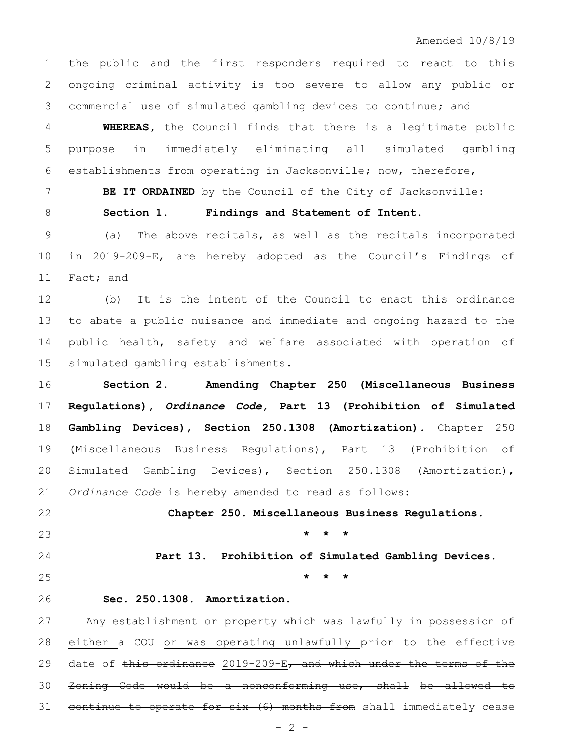Amended 10/8/19

 the public and the first responders required to react to this ongoing criminal activity is too severe to allow any public or commercial use of simulated gambling devices to continue; and

 **WHEREAS,** the Council finds that there is a legitimate public purpose in immediately eliminating all simulated gambling 6 establishments from operating in Jacksonville; now, therefore,

**BE IT ORDAINED** by the Council of the City of Jacksonville:

**Section 1. Findings and Statement of Intent.**

 (a) The above recitals, as well as the recitals incorporated in 2019-209-E, are hereby adopted as the Council's Findings of 11 Fact; and

 (b) It is the intent of the Council to enact this ordinance to abate a public nuisance and immediate and ongoing hazard to the public health, safety and welfare associated with operation of 15 | simulated gambling establishments.

 **Section 2. Amending Chapter 250 (Miscellaneous Business Regulations),** *Ordinance Code,* **Part 13 (Prohibition of Simulated Gambling Devices), Section 250.1308 (Amortization)***.* Chapter 250 (Miscellaneous Business Regulations), Part 13 (Prohibition of Simulated Gambling Devices), Section 250.1308 (Amortization), *Ordinance Code* is hereby amended to read as follows:

 **Chapter 250. Miscellaneous Business Regulations. \* \* \***

**Part 13. Prohibition of Simulated Gambling Devices.**

**\* \* \***

## **Sec. 250.1308. Amortization.**

 Any establishment or property which was lawfully in possession of either a COU or was operating unlawfully prior to the effective 29 date of this ordinance 2019-209-E, and which under the terms of the Zoning Code would be a nonconforming use, shall be allowed to 31 continue to operate for six (6) months from shall immediately cease